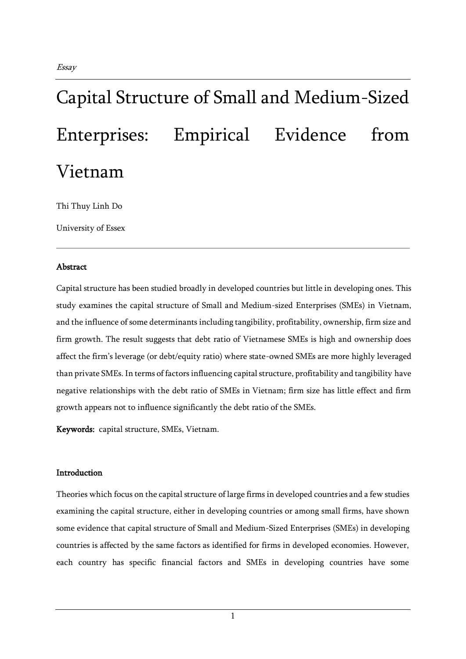# Capital Structure of Small and Medium-Sized

Enterprises: Empirical Evidence from Vietnam

Thi Thuy Linh Do

University of Essex

# Abstract

Capital structure has been studied broadly in developed countries but little in developing ones. This study examines the capital structure of Small and Medium-sized Enterprises (SMEs) in Vietnam, and the influence of some determinants including tangibility, profitability, ownership, firm size and firm growth. The result suggests that debt ratio of Vietnamese SMEs is high and ownership does affect the firm's leverage (or debt/equity ratio) where state-owned SMEs are more highly leveraged than private SMEs. In terms of factors influencing capital structure, profitability and tangibility have negative relationships with the debt ratio of SMEs in Vietnam; firm size has little effect and firm growth appears not to influence significantly the debt ratio of the SMEs.

Keywords: capital structure, SMEs, Vietnam.

# Introduction

Theories which focus on the capital structure of large firms in developed countries and a few studies examining the capital structure, either in developing countries or among small firms, have shown some evidence that capital structure of Small and Medium-Sized Enterprises (SMEs) in developing countries is affected by the same factors as identified for firms in developed economies. However, each country has specific financial factors and SMEs in developing countries have some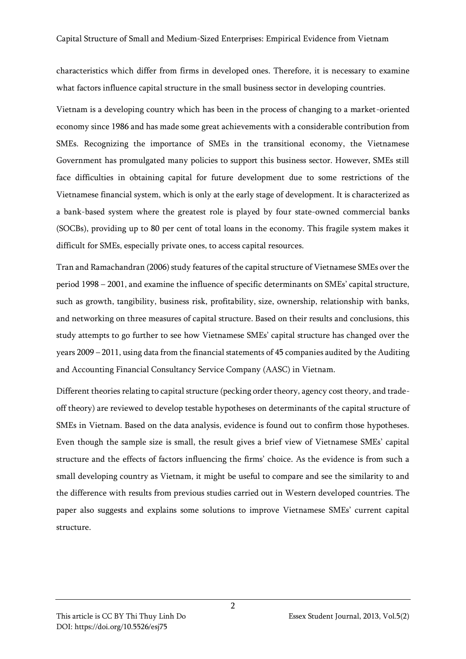characteristics which differ from firms in developed ones. Therefore, it is necessary to examine what factors influence capital structure in the small business sector in developing countries.

Vietnam is a developing country which has been in the process of changing to a market-oriented economy since 1986 and has made some great achievements with a considerable contribution from SMEs. Recognizing the importance of SMEs in the transitional economy, the Vietnamese Government has promulgated many policies to support this business sector. However, SMEs still face difficulties in obtaining capital for future development due to some restrictions of the Vietnamese financial system, which is only at the early stage of development. It is characterized as a bank-based system where the greatest role is played by four state-owned commercial banks (SOCBs), providing up to 80 per cent of total loans in the economy. This fragile system makes it difficult for SMEs, especially private ones, to access capital resources.

Tran and Ramachandran (2006) study features of the capital structure of Vietnamese SMEs over the period 1998 – 2001, and examine the influence of specific determinants on SMEs' capital structure, such as growth, tangibility, business risk, profitability, size, ownership, relationship with banks, and networking on three measures of capital structure. Based on their results and conclusions, this study attempts to go further to see how Vietnamese SMEs' capital structure has changed over the years 2009 – 2011, using data from the financial statements of 45 companies audited by the Auditing and Accounting Financial Consultancy Service Company (AASC) in Vietnam.

Different theories relating to capital structure (pecking order theory, agency cost theory, and tradeoff theory) are reviewed to develop testable hypotheses on determinants of the capital structure of SMEs in Vietnam. Based on the data analysis, evidence is found out to confirm those hypotheses. Even though the sample size is small, the result gives a brief view of Vietnamese SMEs' capital structure and the effects of factors influencing the firms' choice. As the evidence is from such a small developing country as Vietnam, it might be useful to compare and see the similarity to and the difference with results from previous studies carried out in Western developed countries. The paper also suggests and explains some solutions to improve Vietnamese SMEs' current capital structure.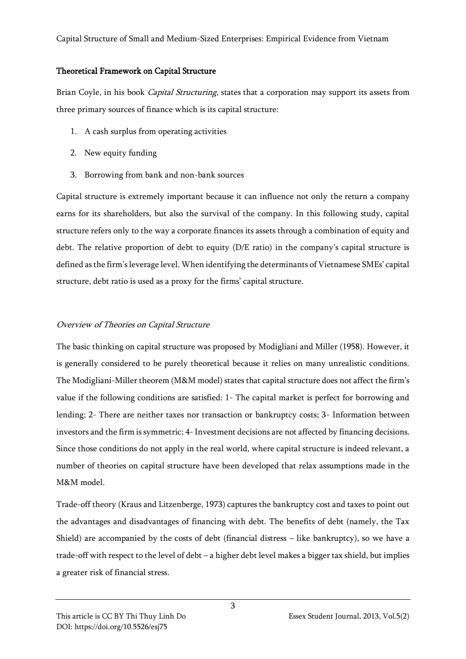## Theoretical Framework on Capital Structure

Brian Coyle, in his book *Capital Structuring*, states that a corporation may support its assets from three primary sources of finance which is its capital structure:

- 1. A cash surplus from operating activities
- 2. New equity funding
- 3. Borrowing from bank and non-bank sources

Capital structure is extremely important because it can influence not only the return a company earns for its shareholders, but also the survival of the company. In this following study, capital structure refers only to the way a corporate finances its assets through a combination of equity and debt. The relative proportion of debt to equity (D/E ratio) in the company's capital structure is defined as the firm's leverage level. When identifying the determinants of Vietnamese SMEs' capital structure, debt ratio is used as a proxy for the firms' capital structure.

# Overview of Theories on Capital Structure

The basic thinking on capital structure was proposed by Modigliani and Miller (1958). However, it is generally considered to be purely theoretical because it relies on many unrealistic conditions. The Modigliani-Miller theorem (M&M model) states that capital structure does not affect the firm's value if the following conditions are satisfied: 1- The capital market is perfect for borrowing and lending; 2- There are neither taxes nor transaction or bankruptcy costs; 3- Information between investors and the firm is symmetric; 4-Investment decisions are not affected by financing decisions. Since those conditions do not apply in the real world, where capital structure is indeed relevant, a number of theories on capital structure have been developed that relax assumptions made in the M&M model.

Trade-off theory (Kraus and Litzenberge, 1973) captures the bankruptcy cost and taxes to point out the advantages and disadvantages of financing with debt. The benefits of debt (namely, the Tax Shield) are accompanied by the costs of debt (financial distress – like bankruptcy), so we have a trade-off with respect to the level of debt – a higher debt level makes a bigger tax shield, but implies a greater risk of financial stress.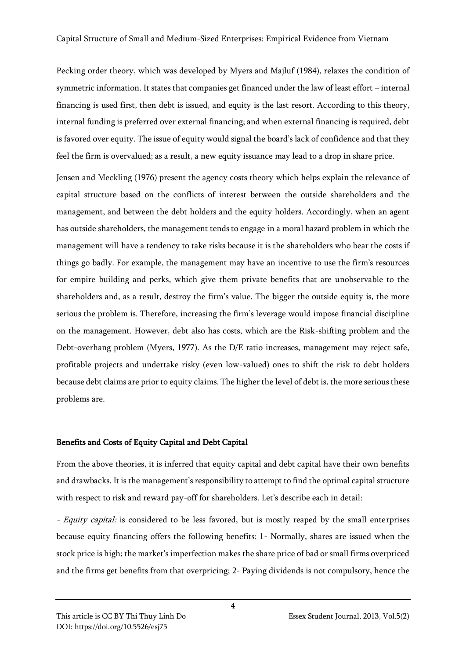Pecking order theory, which was developed by Myers and Majluf (1984), relaxes the condition of symmetric information. It states that companies get financed under the law of least effort – internal financing is used first, then debt is issued, and equity is the last resort. According to this theory, internal funding is preferred over external financing; and when external financing is required, debt is favored over equity. The issue of equity would signal the board's lack of confidence and that they feel the firm is overvalued; as a result, a new equity issuance may lead to a drop in share price.

Jensen and Meckling (1976) present the agency costs theory which helps explain the relevance of capital structure based on the conflicts of interest between the outside shareholders and the management, and between the debt holders and the equity holders. Accordingly, when an agent has outside shareholders, the management tends to engage in a moral hazard problem in which the management will have a tendency to take risks because it is the shareholders who bear the costs if things go badly. For example, the management may have an incentive to use the firm's resources for empire building and perks, which give them private benefits that are unobservable to the shareholders and, as a result, destroy the firm's value. The bigger the outside equity is, the more serious the problem is. Therefore, increasing the firm's leverage would impose financial discipline on the management. However, debt also has costs, which are the Risk-shifting problem and the Debt-overhang problem (Myers, 1977). As the D/E ratio increases, management may reject safe, profitable projects and undertake risky (even low-valued) ones to shift the risk to debt holders because debt claims are prior to equity claims. The higher the level of debt is, the more serious these problems are.

# Benefits and Costs of Equity Capital and Debt Capital

From the above theories, it is inferred that equity capital and debt capital have their own benefits and drawbacks. It is the management's responsibility to attempt to find the optimal capital structure with respect to risk and reward pay-off for shareholders. Let's describe each in detail:

- *Equity capital:* is considered to be less favored, but is mostly reaped by the small enterprises because equity financing offers the following benefits: 1- Normally, shares are issued when the stock price is high; the market's imperfection makes the share price of bad or small firms overpriced and the firms get benefits from that overpricing; 2- Paying dividends is not compulsory, hence the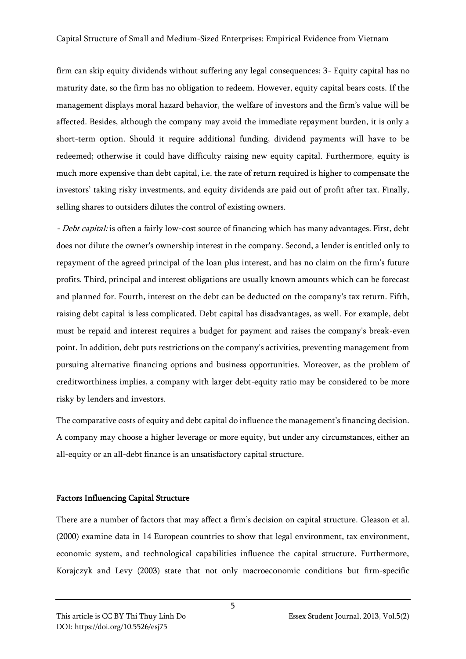firm can skip equity dividends without suffering any legal consequences; 3- Equity capital has no maturity date, so the firm has no obligation to redeem. However, equity capital bears costs. If the management displays moral hazard behavior, the welfare of investors and the firm's value will be affected. Besides, although the company may avoid the immediate repayment burden, it is only a short-term option. Should it require additional funding, dividend payments will have to be redeemed; otherwise it could have difficulty raising new equity capital. Furthermore, equity is much more expensive than debt capital, i.e. the rate of return required is higher to compensate the investors' taking risky investments, and equity dividends are paid out of profit after tax. Finally, selling shares to outsiders dilutes the control of existing owners.

*- Debt capital:* is often a fairly low-cost source of financing which has many advantages. First, debt does not dilute the owner's ownership interest in the company. Second, a lender is entitled only to repayment of the agreed principal of the loan plus interest, and has no claim on the firm's future profits. Third, principal and interest obligations are usually known amounts which can be forecast and planned for. Fourth, interest on the debt can be deducted on the company's tax return. Fifth, raising debt capital is less complicated. Debt capital has disadvantages, as well. For example, debt must be repaid and interest requires a budget for payment and raises the company's break-even point. In addition, debt puts restrictions on the company's activities, preventing management from pursuing alternative financing options and business opportunities. Moreover, as the problem of creditworthiness implies, a company with larger debt-equity ratio may be considered to be more risky by lenders and investors.

The comparative costs of equity and debt capital do influence the management's financing decision. A company may choose a higher leverage or more equity, but under any circumstances, either an all-equity or an all-debt finance is an unsatisfactory capital structure.

# Factors Influencing Capital Structure

There are a number of factors that may affect a firm's decision on capital structure. Gleason et al. (2000) examine data in 14 European countries to show that legal environment, tax environment, economic system, and technological capabilities influence the capital structure. Furthermore, Korajczyk and Levy (2003) state that not only macroeconomic conditions but firm-specific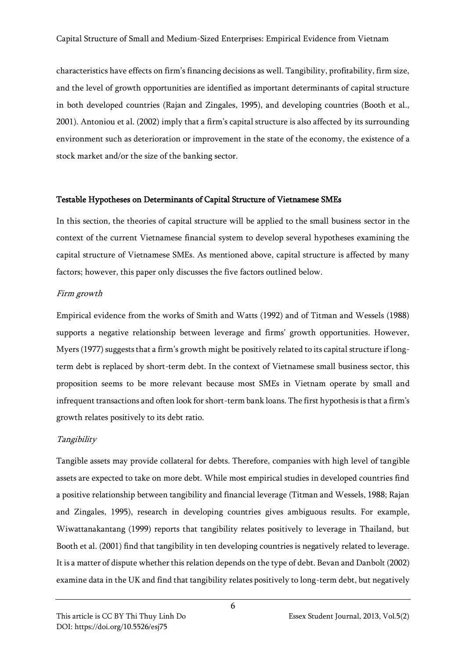characteristics have effects on firm's financing decisions as well. Tangibility, profitability, firm size, and the level of growth opportunities are identified as important determinants of capital structure in both developed countries (Rajan and Zingales, 1995), and developing countries (Booth et al., 2001). Antoniou et al. (2002) imply that a firm's capital structure is also affected by its surrounding environment such as deterioration or improvement in the state of the economy, the existence of a stock market and/or the size of the banking sector.

## Testable Hypotheses on Determinants of Capital Structure of Vietnamese SMEs

In this section, the theories of capital structure will be applied to the small business sector in the context of the current Vietnamese financial system to develop several hypotheses examining the capital structure of Vietnamese SMEs. As mentioned above, capital structure is affected by many factors; however, this paper only discusses the five factors outlined below.

## Firm growth

Empirical evidence from the works of Smith and Watts (1992) and of Titman and Wessels (1988) supports a negative relationship between leverage and firms' growth opportunities. However, Myers (1977) suggests that a firm's growth might be positively related to its capital structure if longterm debt is replaced by short-term debt. In the context of Vietnamese small business sector, this proposition seems to be more relevant because most SMEs in Vietnam operate by small and infrequent transactions and often look for short-term bank loans. The first hypothesis is that a firm's growth relates positively to its debt ratio.

# Tangibility

Tangible assets may provide collateral for debts. Therefore, companies with high level of tangible assets are expected to take on more debt. While most empirical studies in developed countries find a positive relationship between tangibility and financial leverage (Titman and Wessels, 1988; Rajan and Zingales, 1995), research in developing countries gives ambiguous results. For example, Wiwattanakantang (1999) reports that tangibility relates positively to leverage in Thailand, but Booth et al. (2001) find that tangibility in ten developing countries is negatively related to leverage. It is a matter of dispute whether this relation depends on the type of debt. Bevan and Danbolt (2002) examine data in the UK and find that tangibility relates positively to long-term debt, but negatively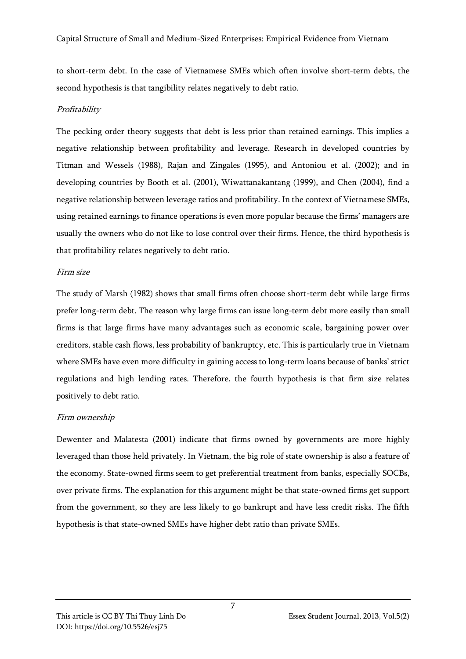to short-term debt. In the case of Vietnamese SMEs which often involve short-term debts, the second hypothesis is that tangibility relates negatively to debt ratio.

## Profitability

The pecking order theory suggests that debt is less prior than retained earnings. This implies a negative relationship between profitability and leverage. Research in developed countries by Titman and Wessels (1988), Rajan and Zingales (1995), and Antoniou et al. (2002); and in developing countries by Booth et al. (2001), Wiwattanakantang (1999), and Chen (2004), find a negative relationship between leverage ratios and profitability. In the context of Vietnamese SMEs, using retained earnings to finance operations is even more popular because the firms' managers are usually the owners who do not like to lose control over their firms. Hence, the third hypothesis is that profitability relates negatively to debt ratio.

#### Firm size

The study of Marsh (1982) shows that small firms often choose short-term debt while large firms prefer long-term debt. The reason why large firms can issue long-term debt more easily than small firms is that large firms have many advantages such as economic scale, bargaining power over creditors, stable cash flows, less probability of bankruptcy, etc. This is particularly true in Vietnam where SMEs have even more difficulty in gaining access to long-term loans because of banks' strict regulations and high lending rates. Therefore, the fourth hypothesis is that firm size relates positively to debt ratio.

# Firm ownership

Dewenter and Malatesta (2001) indicate that firms owned by governments are more highly leveraged than those held privately. In Vietnam, the big role of state ownership is also a feature of the economy. State-owned firms seem to get preferential treatment from banks, especially SOCBs, over private firms. The explanation for this argument might be that state-owned firms get support from the government, so they are less likely to go bankrupt and have less credit risks. The fifth hypothesis is that state-owned SMEs have higher debt ratio than private SMEs.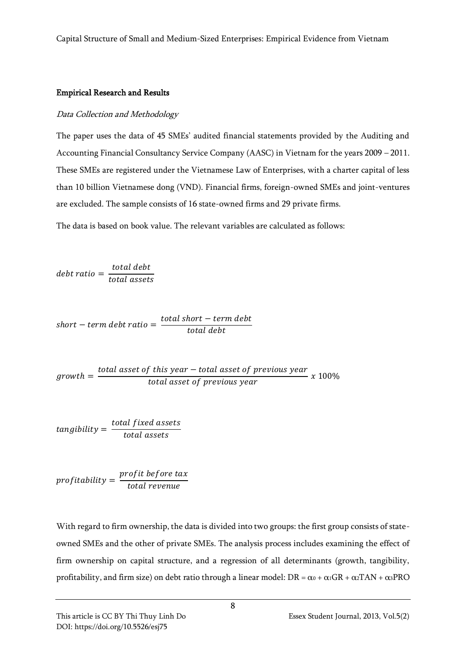#### Empirical Research and Results

## Data Collection and Methodology

The paper uses the data of 45 SMEs' audited financial statements provided by the Auditing and Accounting Financial Consultancy Service Company (AASC) in Vietnam for the years 2009 – 2011. These SMEs are registered under the Vietnamese Law of Enterprises, with a charter capital of less than 10 billion Vietnamese dong (VND). Financial firms, foreign-owned SMEs and joint-ventures are excluded. The sample consists of 16 state-owned firms and 29 private firms.

The data is based on book value. The relevant variables are calculated as follows:

 $debt$  ratio  $=$ total debt total assets

$$
short-term debt ratio = \frac{total short-term debt}{total debt}
$$

 $growth =$  $total$  asset of this year  $-$  total asset of previous year  $\frac{1}{100\%}$  total asset of previous year  $x$  100%

$$
tangibility = \frac{total fixed\ assets}{total\ assets}
$$

$$
profitability = \frac{profit\ before\ tax}{total\ revenue}
$$

With regard to firm ownership, the data is divided into two groups: the first group consists of stateowned SMEs and the other of private SMEs. The analysis process includes examining the effect of firm ownership on capital structure, and a regression of all determinants (growth, tangibility, profitability, and firm size) on debt ratio through a linear model:  $DR = \alpha_0 + \alpha_1 GR + \alpha_2 TAN + \alpha_3 PRO$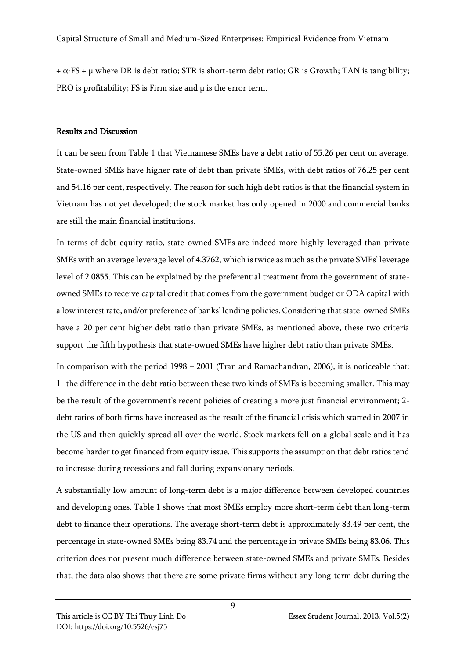$+\alpha$ <sub>4</sub>FS +  $\mu$  where DR is debt ratio; STR is short-term debt ratio; GR is Growth; TAN is tangibility; PRO is profitability; FS is Firm size and  $\mu$  is the error term.

## Results and Discussion

It can be seen from Table 1 that Vietnamese SMEs have a debt ratio of 55.26 per cent on average. State-owned SMEs have higher rate of debt than private SMEs, with debt ratios of 76.25 per cent and 54.16 per cent, respectively. The reason for such high debt ratios is that the financial system in Vietnam has not yet developed; the stock market has only opened in 2000 and commercial banks are still the main financial institutions.

In terms of debt-equity ratio, state-owned SMEs are indeed more highly leveraged than private SMEs with an average leverage level of 4.3762, which is twice as much as the private SMEs' leverage level of 2.0855. This can be explained by the preferential treatment from the government of stateowned SMEs to receive capital credit that comes from the government budget or ODA capital with a low interest rate, and/or preference of banks' lending policies. Considering that state-owned SMEs have a 20 per cent higher debt ratio than private SMEs, as mentioned above, these two criteria support the fifth hypothesis that state-owned SMEs have higher debt ratio than private SMEs.

In comparison with the period 1998 – 2001 (Tran and Ramachandran, 2006), it is noticeable that: 1- the difference in the debt ratio between these two kinds of SMEs is becoming smaller. This may be the result of the government's recent policies of creating a more just financial environment; 2 debt ratios of both firms have increased as the result of the financial crisis which started in 2007 in the US and then quickly spread all over the world. Stock markets fell on a global scale and it has become harder to get financed from equity issue. This supports the assumption that debt ratios tend to increase during recessions and fall during expansionary periods.

A substantially low amount of long-term debt is a major difference between developed countries and developing ones. Table 1 shows that most SMEs employ more short-term debt than long-term debt to finance their operations. The average short-term debt is approximately 83.49 per cent, the percentage in state-owned SMEs being 83.74 and the percentage in private SMEs being 83.06. This criterion does not present much difference between state-owned SMEs and private SMEs. Besides that, the data also shows that there are some private firms without any long-term debt during the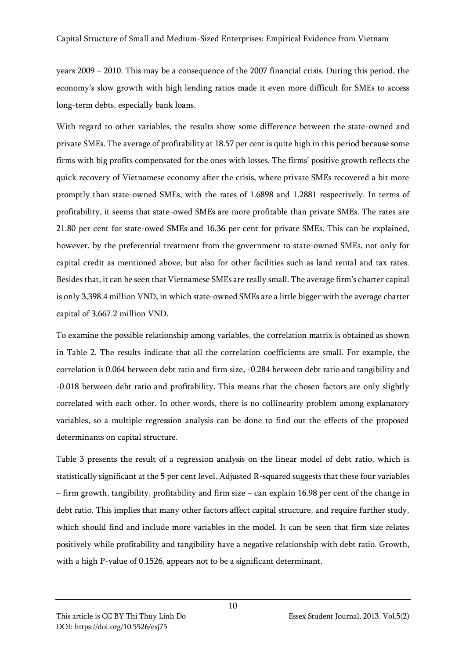years 2009 – 2010. This may be a consequence of the 2007 financial crisis. During this period, the economy's slow growth with high lending ratios made it even more difficult for SMEs to access long-term debts, especially bank loans.

With regard to other variables, the results show some difference between the state-owned and private SMEs. The average of profitability at 18.57 per cent is quite high in this period because some firms with big profits compensated for the ones with losses. The firms' positive growth reflects the quick recovery of Vietnamese economy after the crisis, where private SMEs recovered a bit more promptly than state-owned SMEs, with the rates of 1.6898 and 1.2881 respectively. In terms of profitability, it seems that state-owed SMEs are more profitable than private SMEs. The rates are 21.80 per cent for state-owed SMEs and 16.36 per cent for private SMEs. This can be explained, however, by the preferential treatment from the government to state-owned SMEs, not only for capital credit as mentioned above, but also for other facilities such as land rental and tax rates. Besides that, it can be seen that Vietnamese SMEs are really small. The average firm's charter capital is only 3,398.4 million VND, in which state-owned SMEs are a little bigger with the average charter capital of 3,667.2 million VND.

To examine the possible relationship among variables, the correlation matrix is obtained as shown in Table 2. The results indicate that all the correlation coefficients are small. For example, the correlation is 0.064 between debt ratio and firm size, -0.284 between debt ratio and tangibility and -0.018 between debt ratio and profitability. This means that the chosen factors are only slightly correlated with each other. In other words, there is no collinearity problem among explanatory variables, so a multiple regression analysis can be done to find out the effects of the proposed determinants on capital structure.

Table 3 presents the result of a regression analysis on the linear model of debt ratio, which is statistically significant at the 5 per cent level. Adjusted R-squared suggests that these four variables – firm growth, tangibility, profitability and firm size – can explain 16.98 per cent of the change in debt ratio. This implies that many other factors affect capital structure, and require further study, which should find and include more variables in the model. It can be seen that firm size relates positively while profitability and tangibility have a negative relationship with debt ratio. Growth, with a high P-value of 0.1526, appears not to be a significant determinant.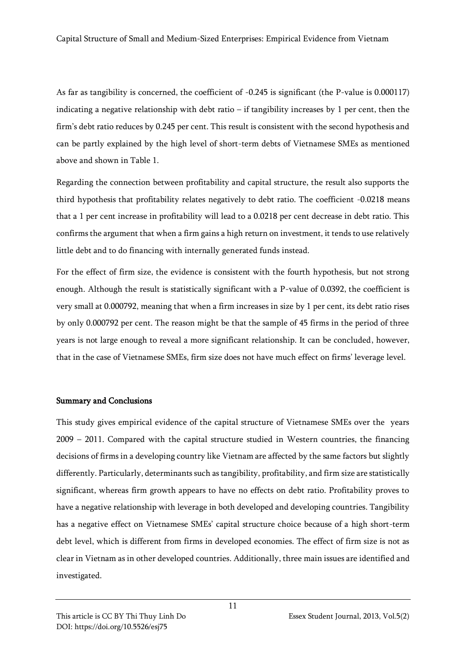As far as tangibility is concerned, the coefficient of -0.245 is significant (the P-value is 0.000117) indicating a negative relationship with debt ratio – if tangibility increases by 1 per cent, then the firm's debt ratio reduces by 0.245 per cent. This result is consistent with the second hypothesis and can be partly explained by the high level of short-term debts of Vietnamese SMEs as mentioned above and shown in Table 1.

Regarding the connection between profitability and capital structure, the result also supports the third hypothesis that profitability relates negatively to debt ratio. The coefficient -0.0218 means that a 1 per cent increase in profitability will lead to a 0.0218 per cent decrease in debt ratio. This confirms the argument that when a firm gains a high return on investment, it tends to use relatively little debt and to do financing with internally generated funds instead.

For the effect of firm size, the evidence is consistent with the fourth hypothesis, but not strong enough. Although the result is statistically significant with a P-value of 0.0392, the coefficient is very small at 0.000792, meaning that when a firm increases in size by 1 per cent, its debt ratio rises by only 0.000792 per cent. The reason might be that the sample of 45 firms in the period of three years is not large enough to reveal a more significant relationship. It can be concluded, however, that in the case of Vietnamese SMEs, firm size does not have much effect on firms' leverage level.

#### Summary and Conclusions

This study gives empirical evidence of the capital structure of Vietnamese SMEs over the years 2009 – 2011. Compared with the capital structure studied in Western countries, the financing decisions of firms in a developing country like Vietnam are affected by the same factors but slightly differently. Particularly, determinants such as tangibility, profitability, and firm size are statistically significant, whereas firm growth appears to have no effects on debt ratio. Profitability proves to have a negative relationship with leverage in both developed and developing countries. Tangibility has a negative effect on Vietnamese SMEs' capital structure choice because of a high short-term debt level, which is different from firms in developed economies. The effect of firm size is not as clear in Vietnam as in other developed countries. Additionally, three main issues are identified and investigated.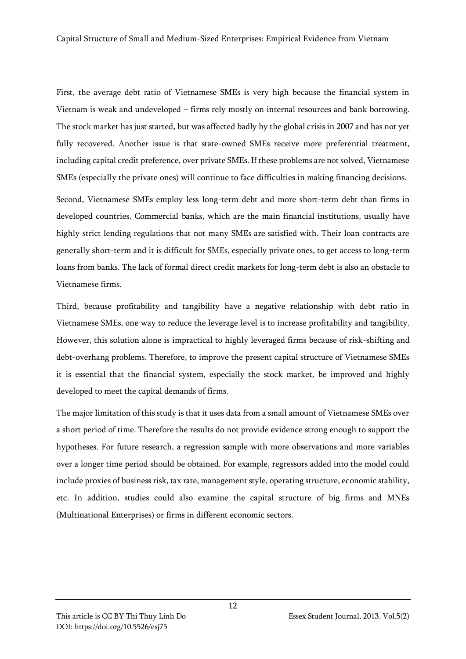First, the average debt ratio of Vietnamese SMEs is very high because the financial system in Vietnam is weak and undeveloped – firms rely mostly on internal resources and bank borrowing. The stock market has just started, but was affected badly by the global crisis in 2007 and has not yet fully recovered. Another issue is that state-owned SMEs receive more preferential treatment, including capital credit preference, over private SMEs. If these problems are not solved, Vietnamese SMEs (especially the private ones) will continue to face difficulties in making financing decisions.

Second, Vietnamese SMEs employ less long-term debt and more short-term debt than firms in developed countries. Commercial banks, which are the main financial institutions, usually have highly strict lending regulations that not many SMEs are satisfied with. Their loan contracts are generally short-term and it is difficult for SMEs, especially private ones, to get access to long-term loans from banks. The lack of formal direct credit markets for long-term debt is also an obstacle to Vietnamese firms.

Third, because profitability and tangibility have a negative relationship with debt ratio in Vietnamese SMEs, one way to reduce the leverage level is to increase profitability and tangibility. However, this solution alone is impractical to highly leveraged firms because of risk-shifting and debt-overhang problems. Therefore, to improve the present capital structure of Vietnamese SMEs it is essential that the financial system, especially the stock market, be improved and highly developed to meet the capital demands of firms.

The major limitation of this study is that it uses data from a small amount of Vietnamese SMEs over a short period of time. Therefore the results do not provide evidence strong enough to support the hypotheses. For future research, a regression sample with more observations and more variables over a longer time period should be obtained. For example, regressors added into the model could include proxies of business risk, tax rate, management style, operating structure, economic stability, etc. In addition, studies could also examine the capital structure of big firms and MNEs (Multinational Enterprises) or firms in different economic sectors.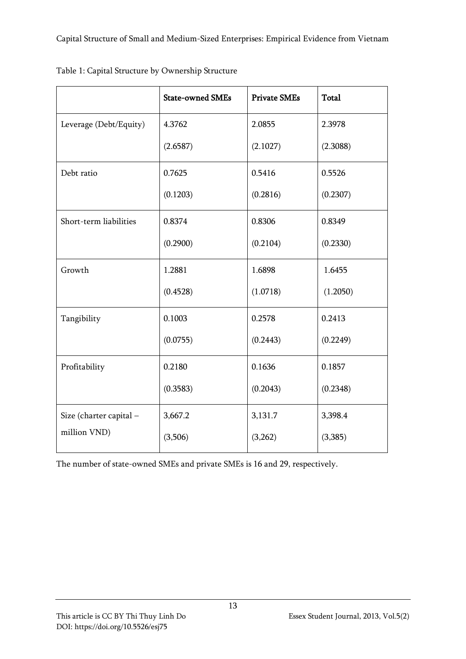|                         | <b>State-owned SMEs</b> | <b>Private SMEs</b> | <b>Total</b> |  |
|-------------------------|-------------------------|---------------------|--------------|--|
| Leverage (Debt/Equity)  | 4.3762                  | 2.0855              | 2.3978       |  |
|                         | (2.6587)                | (2.1027)            | (2.3088)     |  |
| Debt ratio              | 0.7625                  | 0.5416              | 0.5526       |  |
|                         | (0.1203)                | (0.2816)            | (0.2307)     |  |
| Short-term liabilities  | 0.8374                  | 0.8306              | 0.8349       |  |
|                         | (0.2900)                | (0.2104)            | (0.2330)     |  |
| Growth                  | 1.2881                  | 1.6898              | 1.6455       |  |
|                         | (0.4528)                | (1.0718)            | (1.2050)     |  |
| Tangibility             | 0.1003                  | 0.2578              | 0.2413       |  |
|                         | (0.0755)                | (0.2443)            | (0.2249)     |  |
| Profitability           | 0.2180                  | 0.1636              | 0.1857       |  |
|                         | (0.3583)                | (0.2043)            | (0.2348)     |  |
| Size (charter capital - | 3,667.2                 | 3,131.7             | 3,398.4      |  |
| million VND)            | (3,506)                 | (3,262)             | (3,385)      |  |

Table 1: Capital Structure by Ownership Structure

The number of state-owned SMEs and private SMEs is 16 and 29, respectively.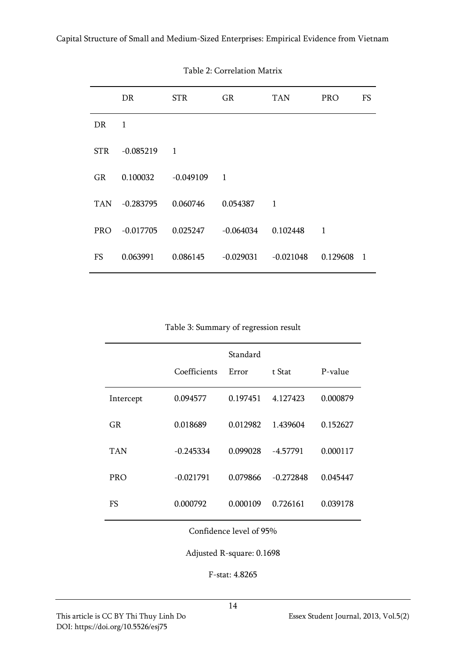|            | DR          | <b>STR</b>     | GR                       | <b>TAN</b>     | <b>PRO</b>   | FS             |
|------------|-------------|----------------|--------------------------|----------------|--------------|----------------|
| DR.        | 1           |                |                          |                |              |                |
| <b>STR</b> | $-0.085219$ | $\overline{1}$ |                          |                |              |                |
| GR         | 0.100032    | $-0.049109$    | $\overline{\phantom{0}}$ |                |              |                |
| <b>TAN</b> | $-0.283795$ | 0.060746       | 0.054387                 | $\overline{1}$ |              |                |
| PRO        | $-0.017705$ | 0.025247       | -0.064034                | 0.102448       | $\mathbf{1}$ |                |
| FS         | 0.063991    | 0.086145       | $-0.029031$              | $-0.021048$    | 0.129608     | $\overline{1}$ |

Table 2: Correlation Matrix

Table 3: Summary of regression result

|            |              | Standard |             |          |
|------------|--------------|----------|-------------|----------|
|            | Coefficients | Error    | t Stat      | P-value  |
| Intercept  | 0.094577     | 0.197451 | 4.127423    | 0.000879 |
| GR         | 0.018689     | 0.012982 | 1.439604    | 0.152627 |
| TAN        | $-0.245334$  | 0.099028 | $-4.57791$  | 0.000117 |
| <b>PRO</b> | $-0.021791$  | 0.079866 | $-0.272848$ | 0.045447 |
| FS         | 0.000792     | 0.000109 | 0.726161    | 0.039178 |

Confidence level of 95%

Adjusted R-square: 0.1698

F-stat: 4.8265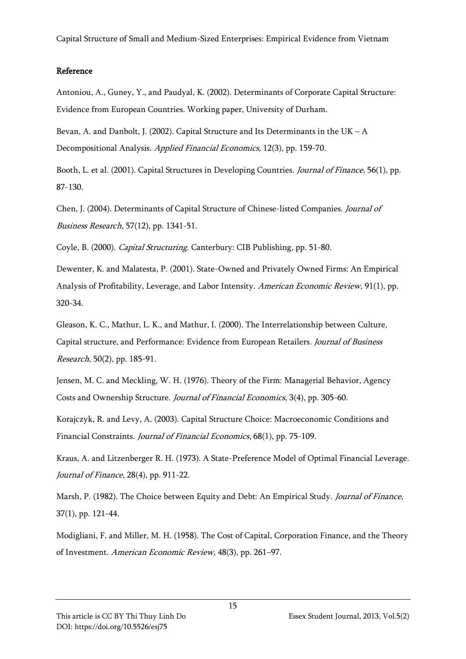#### Reference

Antoniou, A., Guney, Y., and Paudyal, K. (2002). Determinants of Corporate Capital Structure: Evidence from European Countries. Working paper, University of Durham.

Bevan, A. and Danbolt, J. (2002). Capital Structure and Its Determinants in the UK –  $A$ Decompositional Analysis. Applied Financial Economics, 12(3), pp. 159-70.

Booth, L. et al. (2001). Capital Structures in Developing Countries. Journal of Finance, 56(1), pp. 87-130.

Chen, J. (2004). Determinants of Capital Structure of Chinese-listed Companies. Journal of Business Research, 57(12), pp. 1341-51.

Coyle, B. (2000). Capital Structuring. Canterbury: CIB Publishing, pp. 51-80.

Dewenter, K. and Malatesta, P. (2001). State-Owned and Privately Owned Firms: An Empirical Analysis of Profitability, Leverage, and Labor Intensity. American Economic Review, 91(1), pp. 320-34.

Gleason, K. C., Mathur, L. K., and Mathur, I. (2000). The Interrelationship between Culture, Capital structure, and Performance: Evidence from European Retailers. Journal of Business Research, 50(2), pp. 185-91.

Jensen, M. C. and Meckling, W. H. (1976). Theory of the Firm: Managerial Behavior, Agency Costs and Ownership Structure. Journal of Financial Economics, 3(4), pp. 305-60.

Korajczyk, R. and Levy, A. (2003). Capital Structure Choice: Macroeconomic Conditions and Financial Constraints. Journal of Financial Economics, 68(1), pp. 75-109.

Kraus, A. and Litzenberger R. H. (1973). A State-Preference Model of Optimal Financial Leverage. Journal of Finance, 28(4), pp. 911-22.

Marsh, P. (1982). The Choice between Equity and Debt: An Empirical Study. Journal of Finance, 37(1), pp. 121-44.

Modigliani, F. and Miller, M. H. (1958). The Cost of Capital, Corporation Finance, and the Theory of Investment. American Economic Review, 48(3), pp. 261–97.